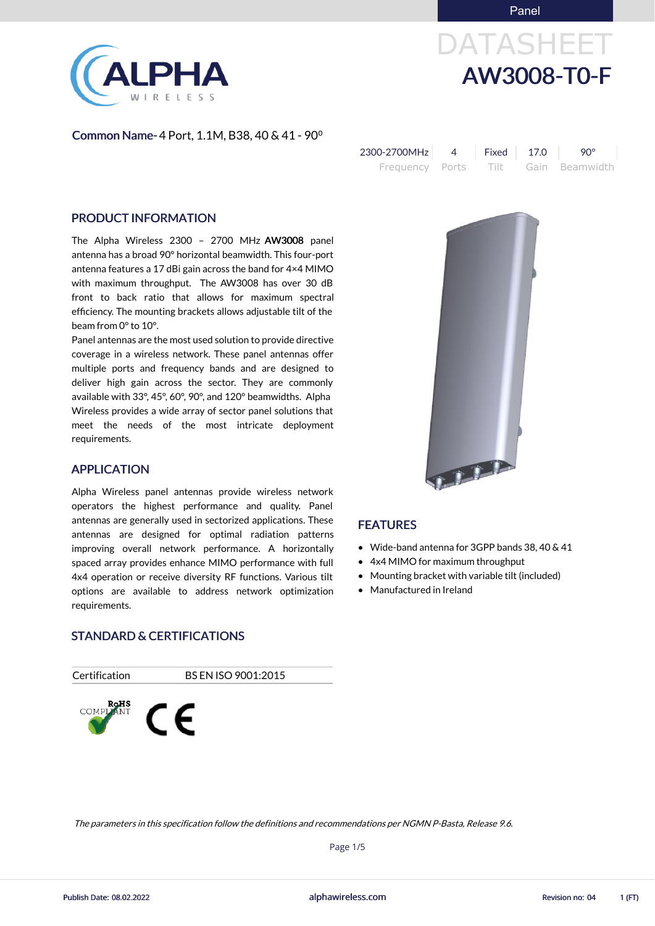Panel



# DATASHEET AW3008-T0-F

Common Name- 4 Port, 1.1M, B38, 40 & 41 - 90⁰

The Alpha Wireless 2300 – 2700 MHz AW3008 panel antenna has a broad 90° horizontal beamwidth. This four-port antenna features a 17 dBi gain across the band for 4×4 MIMO with maximum throughput. The AW3008 has over 30 dB front to back ratio that allows for maximum spectral efficiency. The mounting brackets allows adjustable tilt of the beam from 0° to 10°.

| 2300-2700MHz    | <b>Fixed</b> 17.0 | <b>90°</b>          |
|-----------------|-------------------|---------------------|
| Frequency Ports |                   | Tilt Gain Beamwidth |

#### PRODUCT INFORMATION

Panel antennas are the most used solution to provide directive coverage in a wireless network. These panel antennas offer multiple ports and frequency bands and are designed to deliver high gain across the sector. They are commonly available with 33°, 45°, 60°, 90°, and 120° beamwidths. Alpha Wireless provides a wide array of sector panel solutions that meet the needs of the most intricate deployment requirements.

- Wide-band antenna for 3GPP bands 38, 40 & 41
- 4x4 MIMO for maximum throughput
- Mounting bracket with variable tilt (included)
- Manufactured in Ireland

#### APPLICATION

Alpha Wireless panel antennas provide wireless network operators the highest performance and quality. Panel antennas are generally used in sectorized applications. These antennas are designed for optimal radiation patterns improving overall network performance. A horizontally spaced array provides enhance MIMO performance with full 4x4 operation or receive diversity RF functions. Various tilt options are available to address network optimization requirements.

#### STANDARD & CERTIFICATIONS





#### FEATURES

alphawireless.com

Publish Date: 08.02.2022 alphawireless.com Revision no: 04 1 (FT)

Page 1/5

#### The parameters in this specification follow the definitions and recommendations per NGMN P-Basta, Release 9.6.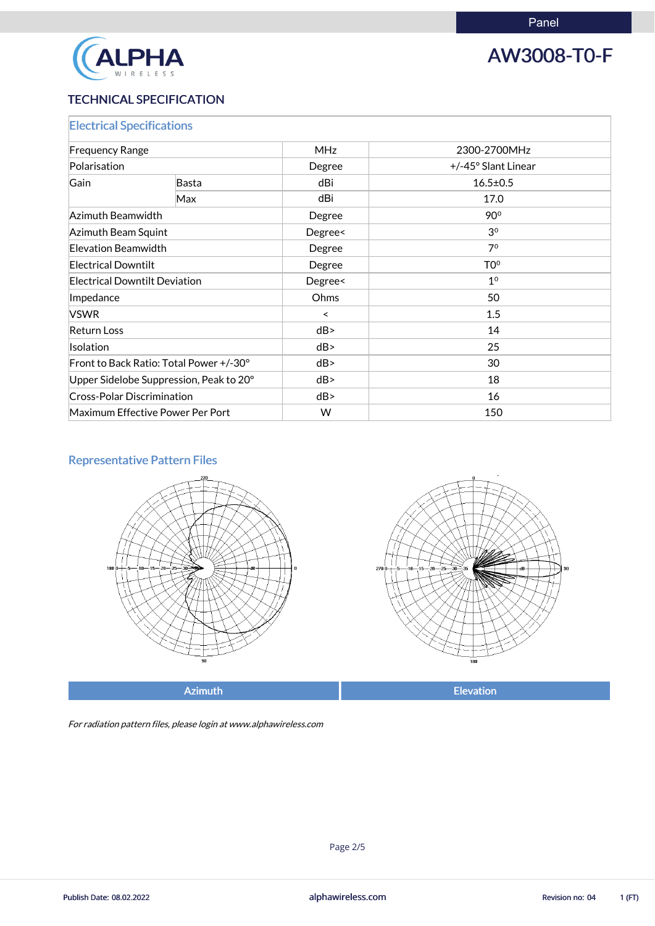

## AW3008-T0-F

### TECHNICAL SPECIFICATION

| <b>Electrical Specifications</b>        |       |            |                     |  |
|-----------------------------------------|-------|------------|---------------------|--|
| <b>Frequency Range</b>                  |       | <b>MHz</b> | 2300-2700MHz        |  |
| Polarisation                            |       | Degree     | +/-45° Slant Linear |  |
| Gain                                    | Basta | dBi        | $16.5 \pm 0.5$      |  |
|                                         | Max   | dBi        | 17.0                |  |
| Azimuth Beamwidth                       |       | Degree     | 90°                 |  |
| <b>Azimuth Beam Squint</b>              |       | Degree<    | 3 <sup>0</sup>      |  |
| Elevation Beamwidth                     |       | Degree     | 7 <sup>0</sup>      |  |
| <b>Electrical Downtilt</b>              |       | Degree     | T <sub>0</sub> °    |  |
| <b>Electrical Downtilt Deviation</b>    |       | Degree<    | 1 <sup>0</sup>      |  |
| Impedance                               |       | Ohms       | 50                  |  |
| <b>VSWR</b>                             |       | $\prec$    | 1.5                 |  |
| <b>Return Loss</b>                      |       | dB         | 14                  |  |
| Isolation                               |       | dB         | 25                  |  |
| Front to Back Ratio: Total Power +/-30° |       | dB         | 30                  |  |
| Upper Sidelobe Suppression, Peak to 20° |       | dB         | 18                  |  |
| <b>Cross-Polar Discrimination</b>       |       | dB         | 16                  |  |
| Maximum Effective Power Per Port        |       | W          | 150                 |  |

### Representative Pattern Files





Azimuth **Elevation** 

For radiation pattern files, please login at www.alphawireless.com

alphawireless.com

Publish Date: 08.02.2022 **Revision no: 04** alphawireless.com **Revision no: 04** 1 (FT)

Page 2/5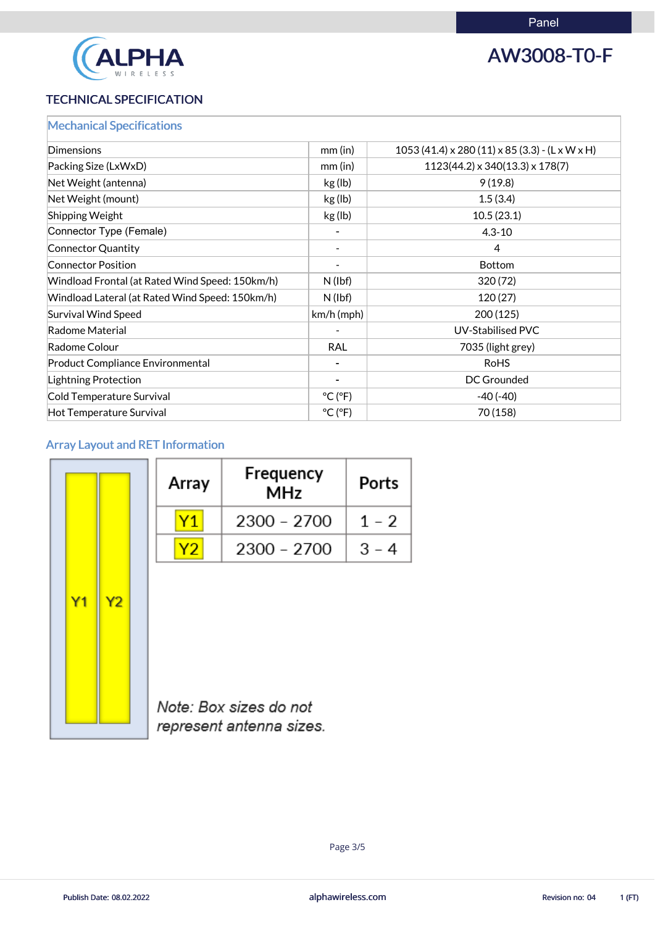

# AW3008-T0-F

### TECHNICAL SPECIFICATION

|  |  |  | <b>Mechanical Specifications</b> |
|--|--|--|----------------------------------|
|  |  |  |                                  |

| Dimensions                                      | $mm$ (in)                    | $1053(41.4) \times 280(11) \times 85(3.3)$ - (L x W x H) |
|-------------------------------------------------|------------------------------|----------------------------------------------------------|
| Packing Size (LxWxD)                            | mm (in)                      | $1123(44.2) \times 340(13.3) \times 178(7)$              |
| Net Weight (antenna)                            | kg (lb)                      | 9(19.8)                                                  |
| Net Weight (mount)                              | kg (lb)                      | 1.5(3.4)                                                 |
| <b>Shipping Weight</b>                          | kg (lb)                      | 10.5(23.1)                                               |
| Connector Type (Female)                         |                              | $4.3 - 10$                                               |
| Connector Quantity                              |                              | $\overline{4}$                                           |
| <b>Connector Position</b>                       |                              | <b>Bottom</b>                                            |
| Windload Frontal (at Rated Wind Speed: 150km/h) | $N$ (lbf)                    | 320(72)                                                  |
| Windload Lateral (at Rated Wind Speed: 150km/h) | $N$ (lbf)                    | 120(27)                                                  |
| Survival Wind Speed                             | $km/h$ (mph)                 | 200 (125)                                                |
| Radome Material                                 |                              | <b>UV-Stabilised PVC</b>                                 |
| Radome Colour                                   | <b>RAL</b>                   | 7035 (light grey)                                        |
| <b>Product Compliance Environmental</b>         |                              | <b>RoHS</b>                                              |
| <b>Lightning Protection</b>                     |                              | <b>DC Grounded</b>                                       |
| Cold Temperature Survival                       | $^{\circ}$ C ( $^{\circ}$ F) | $-40(-40)$                                               |
| Hot Temperature Survival                        | $^{\circ}$ C ( $^{\circ}$ F) | 70 (158)                                                 |

### Array Layout and RET Information

| Array | Frequency<br>MHz | Ports   |
|-------|------------------|---------|
|       | 2300 - 2700      | $1 - 2$ |
| Y2    | 2300 - 2700      | $3 - 4$ |



 $Y1$ 

 $Y<sub>2</sub>$ 

Note: Box sizes do not

represent antenna sizes.

alphawireless.com

Page 3/5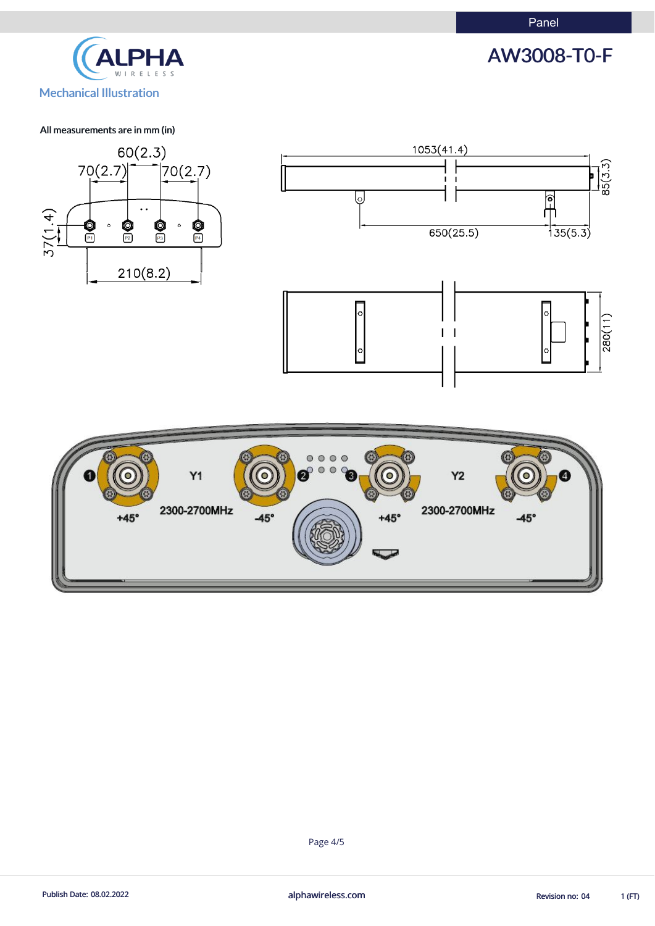



#### All measurements are in mm (in)



Page 4/5